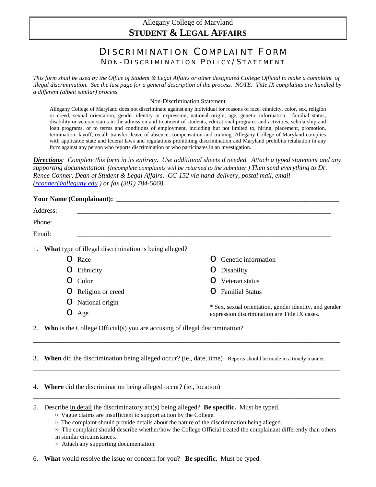## Allegany College of Maryland **STUDENT & LEGAL AFFAIRS**

# DISCRIMINATION COMPLAINT FORM NON-DISCRIMINATION POLICY/STATEMENT

*This form shall be used by the Office of Student & Legal Affairs or other designated College Official to make a complaint of illegal discrimination. See the last page for a general description of the process. NOTE: Title IX complaints are handled by a different (albeit similar) process.* 

#### Non-Discrimination Statement

Allegany College of Maryland does not discriminate against any individual for reasons of race, ethnicity, color, sex, religion or creed, sexual orientation, gender identity or expression, national origin, age, genetic information, familial status, disability or veteran status in the admission and treatment of students, educational programs and activities, scholarship and loan programs, or to terms and conditions of employment, including but not limited to, hiring, placement, promotion, termination, layoff, recall, transfer, leave of absence, compensation and training. Allegany College of Maryland complies with applicable state and federal laws and regulations prohibiting discrimination and Maryland prohibits retaliation in any form against any person who reports discrimination or who participates in an investigation.

*Directions: Complete this form in its entirety. Use additional sheets if needed. Attach a typed statement and any supporting documentation. (Incomplete complaints will be returned to the submitter.) Then send everything to Dr. Renee Conner, Dean of Student & Legal Affairs. CC-152 via hand-delivery, postal mail, email [\(rconner@allegany.edu](mailto:rconner@allegany.edu) ) or fax (301) 784-5068.* 

### **Your Name (Complainant): \_\_\_\_\_\_\_\_\_\_\_\_\_\_\_\_\_\_\_\_\_\_\_\_\_\_\_\_\_\_\_\_\_\_\_\_\_\_\_\_\_\_\_\_\_\_\_\_\_\_\_\_\_\_\_\_\_\_\_\_\_\_\_\_\_\_**

| Address: |                                                                                   |                   |                                               |                                                        |  |
|----------|-----------------------------------------------------------------------------------|-------------------|-----------------------------------------------|--------------------------------------------------------|--|
| Phone:   |                                                                                   |                   |                                               |                                                        |  |
| Email:   |                                                                                   |                   |                                               |                                                        |  |
| 1.       | <b>What</b> type of illegal discrimination is being alleged?                      |                   |                                               |                                                        |  |
|          | ( )                                                                               | Race              | 0                                             | Genetic information                                    |  |
|          | Ő                                                                                 | Ethnicity         | O                                             | Disability                                             |  |
|          | $\left( \right)$                                                                  | Color             | 0                                             | Veteran status                                         |  |
|          | Ő                                                                                 | Religion or creed | O                                             | <b>Familial Status</b>                                 |  |
|          | Ő                                                                                 | National origin   |                                               | * Sex, sexual orientation, gender identity, and gender |  |
|          | O                                                                                 | Age               | expression discrimination are Title IX cases. |                                                        |  |
| 2.       | <b>Who</b> is the College Official(s) you are accusing of illegal discrimination? |                   |                                               |                                                        |  |

3. **When** did the discrimination being alleged occur? (ie., date, time) Reports should be made in a timely manner.

**\_\_\_\_\_\_\_\_\_\_\_\_\_\_\_\_\_\_\_\_\_\_\_\_\_\_\_\_\_\_\_\_\_\_\_\_\_\_\_\_\_\_\_\_\_\_\_\_\_\_\_\_\_\_\_\_\_\_\_\_\_\_\_\_\_\_\_\_\_\_\_\_\_\_\_\_\_\_\_\_\_\_\_\_\_\_\_\_\_\_\_**

**\_\_\_\_\_\_\_\_\_\_\_\_\_\_\_\_\_\_\_\_\_\_\_\_\_\_\_\_\_\_\_\_\_\_\_\_\_\_\_\_\_\_\_\_\_\_\_\_\_\_\_\_\_\_\_\_\_\_\_\_\_\_\_\_\_\_\_\_\_\_\_\_\_\_\_\_\_\_\_\_\_\_\_\_\_\_\_\_\_\_\_**

**\_\_\_\_\_\_\_\_\_\_\_\_\_\_\_\_\_\_\_\_\_\_\_\_\_\_\_\_\_\_\_\_\_\_\_\_\_\_\_\_\_\_\_\_\_\_\_\_\_\_\_\_\_\_\_\_\_\_\_\_\_\_\_\_\_\_\_\_\_\_\_\_\_\_\_\_\_\_\_\_\_\_\_\_\_\_\_\_\_\_\_**

4. **Where** did the discrimination being alleged occur? (ie., location)

5. Describe in detail the discriminatory act(s) being alleged? **Be specific.** Must be typed.

- >> The complaint should provide details about the nature of the discrimination being alleged.
- >> The complaint should describe whether/how the College Official treated the complainant differently than others
- in similar circumstances.
- >> Attach any supporting documentation.

6. **What** would resolve the issue or concern for you? **Be specific.** Must be typed.

>> Vague claims are insufficient to support action by the College.